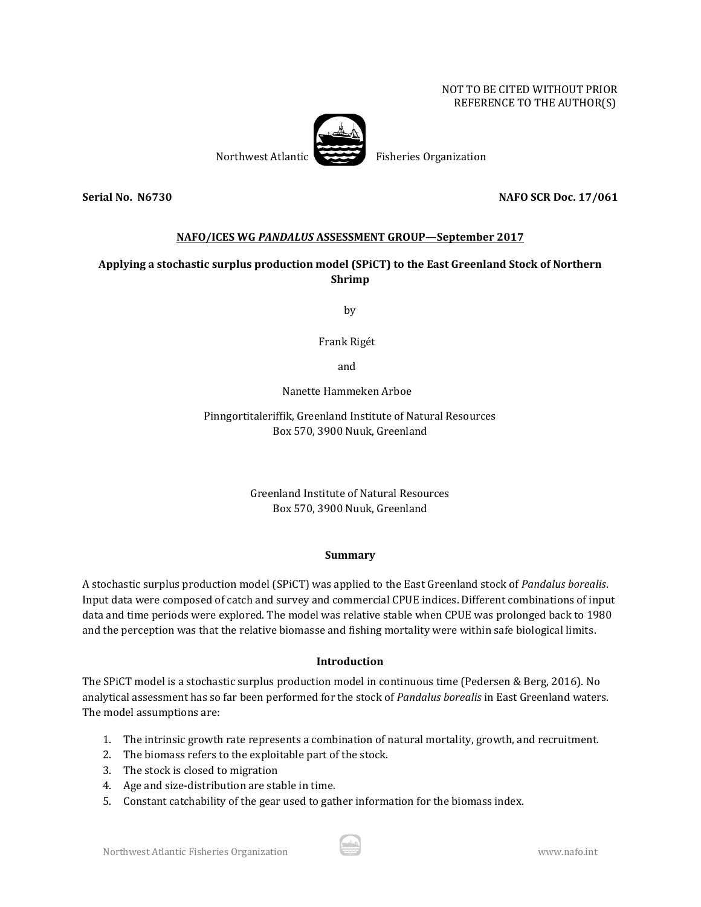### NOT TO BE CITED WITHOUT PRIOR REFERENCE TO THE AUTHOR(S)



### **Serial No. N6730 NAFO SCR Doc. 17/061**

## **NAFO/ICES WG** *PANDALUS* **ASSESSMENT GROUP—September 2017**

# **Applying a stochastic surplus production model (SPiCT) to the East Greenland Stock of Northern Shrimp**

by

Frank Rigét

and

Nanette Hammeken Arboe

Pinngortitaleriffik, Greenland Institute of Natural Resources Box 570, 3900 Nuuk, Greenland

> Greenland Institute of Natural Resources Box 570, 3900 Nuuk, Greenland

### **Summary**

A stochastic surplus production model (SPiCT) was applied to the East Greenland stock of *Pandalus borealis*. Input data were composed of catch and survey and commercial CPUE indices. Different combinations of input data and time periods were explored. The model was relative stable when CPUE was prolonged back to 1980 and the perception was that the relative biomasse and fishing mortality were within safe biological limits.

## **Introduction**

The SPiCT model is a stochastic surplus production model in continuous time (Pedersen & Berg, 2016). No analytical assessment has so far been performed for the stock of *Pandalus borealis* in East Greenland waters. The model assumptions are:

- 1. The intrinsic growth rate represents a combination of natural mortality, growth, and recruitment.
- 2. The biomass refers to the exploitable part of the stock.
- 3. The stock is closed to migration
- 4. Age and size-distribution are stable in time.
- 5. Constant catchability of the gear used to gather information for the biomass index.

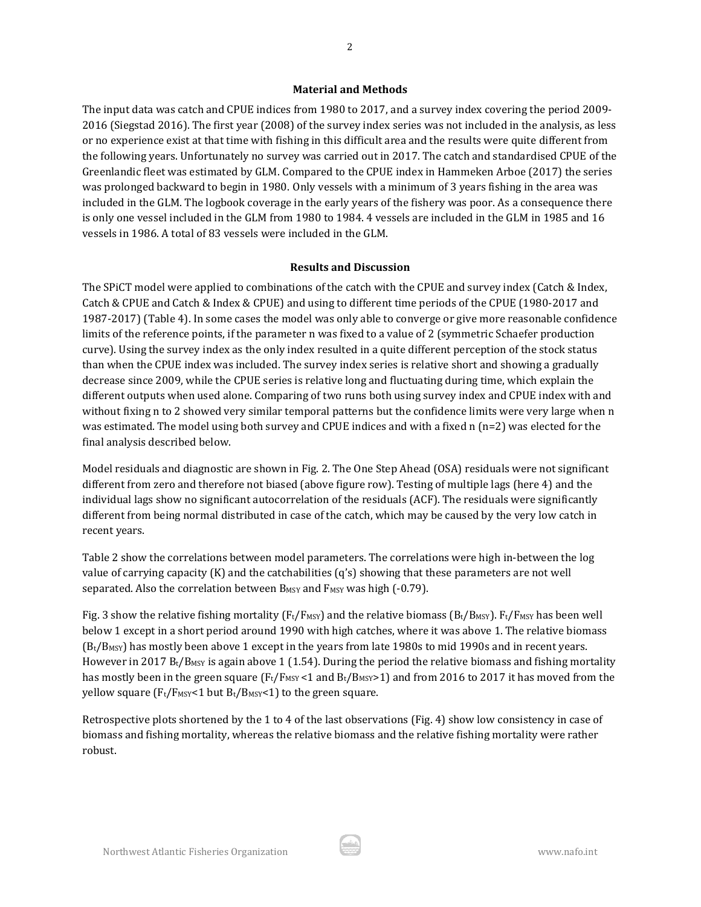#### **Material and Methods**

The input data was catch and CPUE indices from 1980 to 2017, and a survey index covering the period 2009- 2016 (Siegstad 2016). The first year (2008) of the survey index series was not included in the analysis, as less or no experience exist at that time with fishing in this difficult area and the results were quite different from the following years. Unfortunately no survey was carried out in 2017. The catch and standardised CPUE of the Greenlandic fleet was estimated by GLM. Compared to the CPUE index in Hammeken Arboe (2017) the series was prolonged backward to begin in 1980. Only vessels with a minimum of 3 years fishing in the area was included in the GLM. The logbook coverage in the early years of the fishery was poor. As a consequence there is only one vessel included in the GLM from 1980 to 1984. 4 vessels are included in the GLM in 1985 and 16 vessels in 1986. A total of 83 vessels were included in the GLM.

### **Results and Discussion**

The SPiCT model were applied to combinations of the catch with the CPUE and survey index (Catch & Index, Catch & CPUE and Catch & Index & CPUE) and using to different time periods of the CPUE (1980-2017 and 1987-2017) (Table 4). In some cases the model was only able to converge or give more reasonable confidence limits of the reference points, if the parameter n was fixed to a value of 2 (symmetric Schaefer production curve). Using the survey index as the only index resulted in a quite different perception of the stock status than when the CPUE index was included. The survey index series is relative short and showing a gradually decrease since 2009, while the CPUE series is relative long and fluctuating during time, which explain the different outputs when used alone. Comparing of two runs both using survey index and CPUE index with and without fixing n to 2 showed very similar temporal patterns but the confidence limits were very large when n was estimated. The model using both survey and CPUE indices and with a fixed n (n=2) was elected for the final analysis described below.

Model residuals and diagnostic are shown in Fig. 2. The One Step Ahead (OSA) residuals were not significant different from zero and therefore not biased (above figure row). Testing of multiple lags (here 4) and the individual lags show no significant autocorrelation of the residuals (ACF). The residuals were significantly different from being normal distributed in case of the catch, which may be caused by the very low catch in recent years.

Table 2 show the correlations between model parameters. The correlations were high in-between the log value of carrying capacity (K) and the catchabilities (q's) showing that these parameters are not well separated. Also the correlation between B<sub>MSY</sub> and F<sub>MSY</sub> was high (-0.79).

Fig. 3 show the relative fishing mortality ( $F_t/F$ <sub>MSY</sub>) and the relative biomass ( $B_t/B$ <sub>MSY</sub>).  $F_t/F$ <sub>MSY</sub> has been well below 1 except in a short period around 1990 with high catches, where it was above 1. The relative biomass (Bt/BMSY) has mostly been above 1 except in the years from late 1980s to mid 1990s and in recent years. However in 2017 B<sub>t</sub>/B<sub>MSY</sub> is again above 1 (1.54). During the period the relative biomass and fishing mortality has mostly been in the green square ( $F_t/F_{MSY}$  <1 and  $B_t/B_{MSY}$  and from 2016 to 2017 it has moved from the yellow square ( $F_t/F_{MSY}$ <1 but  $B_t/B_{MSY}$ <1) to the green square.

Retrospective plots shortened by the 1 to 4 of the last observations (Fig. 4) show low consistency in case of biomass and fishing mortality, whereas the relative biomass and the relative fishing mortality were rather robust.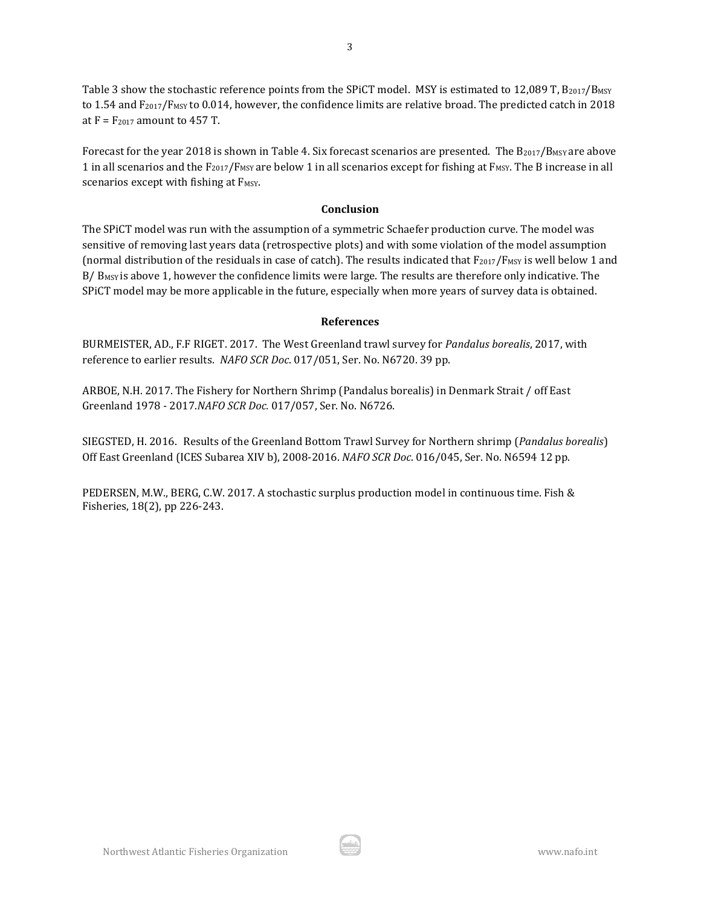Table 3 show the stochastic reference points from the SPiCT model. MSY is estimated to 12,089 T,  $B_{2017}/B_{MSY}$ to 1.54 and F<sub>2017</sub>/F<sub>MSY</sub> to 0.014, however, the confidence limits are relative broad. The predicted catch in 2018 at  $F = F_{2017}$  amount to 457 T.

Forecast for the year 2018 is shown in Table 4. Six forecast scenarios are presented. The B2017/BMSY are above 1 in all scenarios and the F<sub>2017</sub>/F<sub>MSY</sub> are below 1 in all scenarios except for fishing at F<sub>MSY</sub>. The B increase in all scenarios except with fishing at F<sub>MSY</sub>.

#### **Conclusion**

The SPiCT model was run with the assumption of a symmetric Schaefer production curve. The model was sensitive of removing last years data (retrospective plots) and with some violation of the model assumption (normal distribution of the residuals in case of catch). The results indicated that  $F_{2017}/F_{MSY}$  is well below 1 and B/ B<sub>MSY</sub> is above 1, however the confidence limits were large. The results are therefore only indicative. The SPiCT model may be more applicable in the future, especially when more years of survey data is obtained.

### **References**

BURMEISTER, AD., F.F RIGET. 2017. The West Greenland trawl survey for *Pandalus borealis*, 2017, with reference to earlier results. *NAFO SCR Doc*. 017/051, Ser. No. N6720. 39 pp.

ARBOE, N.H. 2017. The Fishery for Northern Shrimp (Pandalus borealis) in Denmark Strait / off East Greenland 1978 - 2017.*NAFO SCR Doc.* 017/057, Ser. No. N6726.

SIEGSTED, H. 2016. Results of the Greenland Bottom Trawl Survey for Northern shrimp (*Pandalus borealis*) Off East Greenland (ICES Subarea XIV b), 2008-2016. *NAFO SCR Doc*. 016/045, Ser. No. N6594 12 pp.

PEDERSEN, M.W., BERG, C.W. 2017. A stochastic surplus production model in continuous time. Fish & Fisheries, 18(2), pp 226-243.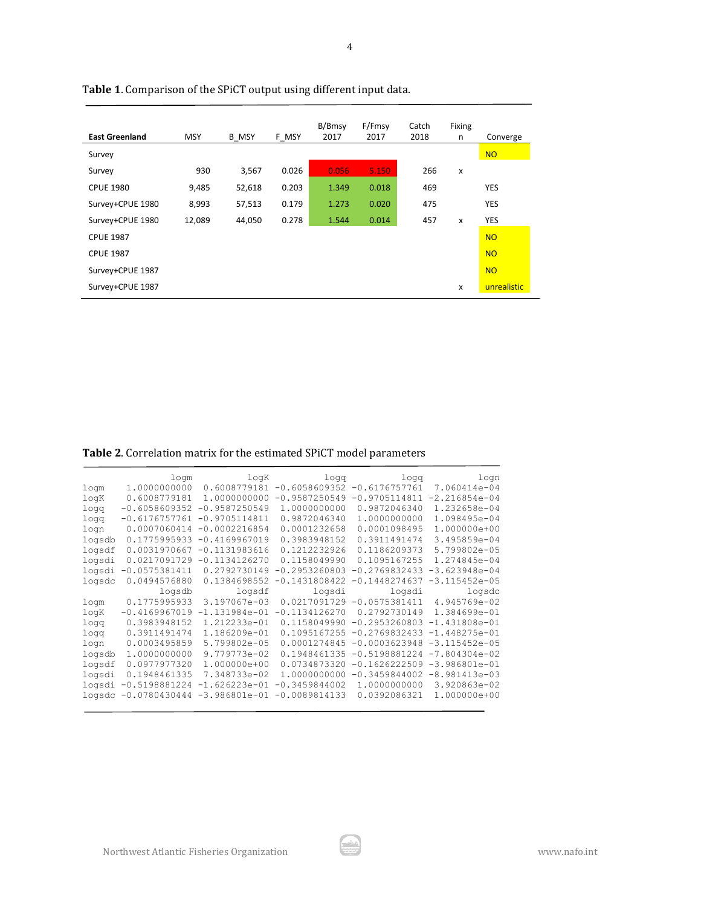| <b>East Greenland</b> | <b>MSY</b> | <b>B MSY</b> | F MSY | B/Bmsy<br>2017 | F/Fmsy<br>2017 | Catch<br>2018 | Fixing<br>n               | Converge    |
|-----------------------|------------|--------------|-------|----------------|----------------|---------------|---------------------------|-------------|
| Survey                |            |              |       |                |                |               |                           | <b>NO</b>   |
| Survey                | 930        | 3,567        | 0.026 | 0.056          | 5.150          | 266           | $\boldsymbol{\mathsf{x}}$ |             |
| <b>CPUE 1980</b>      | 9,485      | 52,618       | 0.203 | 1.349          | 0.018          | 469           |                           | <b>YES</b>  |
| Survey+CPUE 1980      | 8,993      | 57,513       | 0.179 | 1.273          | 0.020          | 475           |                           | <b>YES</b>  |
| Survey+CPUE 1980      | 12,089     | 44,050       | 0.278 | 1.544          | 0.014          | 457           | $\mathbf{x}$              | <b>YES</b>  |
| <b>CPUE 1987</b>      |            |              |       |                |                |               |                           | <b>NO</b>   |
| <b>CPUE 1987</b>      |            |              |       |                |                |               |                           | <b>NO</b>   |
| Survey+CPUE 1987      |            |              |       |                |                |               |                           | <b>NO</b>   |
| Survey+CPUE 1987      |            |              |       |                |                |               | X                         | unrealistic |

4

T**able 1**. Comparison of the SPiCT output using different input data.

| Table 2. Correlation matrix for the estimated SPiCT model parameters |  |
|----------------------------------------------------------------------|--|
|                                                                      |  |

|        | logm                 | logK            | logg            | logg            | $1$ oqn           |
|--------|----------------------|-----------------|-----------------|-----------------|-------------------|
| logm   | 1,0000000000         | 0.6008779181    | $-0.6058609352$ | $-0.6176757761$ | 7.060414e-04      |
| logK   | 0.6008779181         | 1,0000000000    | $-0.9587250549$ | $-0.9705114811$ | $-2.216854e-04$   |
| logg   | $-0.6058609352$      | $-0.9587250549$ | 1.0000000000    | 0.9872046340    | 1.232658e-04      |
| logg   | $-0.6176757761$      | $-0.9705114811$ | 0.9872046340    | 1.0000000000    | 1.098495e-04      |
| logn   | 0.0007060414         | $-0.0002216854$ | 0.0001232658    | 0.0001098495    | 1.000000e+00      |
| logsdb | 0.1775995933         | $-0.4169967019$ | 0.3983948152    | 0.3911491474    | 3.495859e-04      |
| logsdf | 0.0031970667         | $-0.1131983616$ | 0.1212232926    | 0.1186209373    | 5.799802e-05      |
| logsdi | 0.0217091729         | $-0.1134126270$ | 0.1158049990    | 0.1095167255    | 1.274845e-04      |
| logsdi | $-0.0575381411$      | 0.2792730149    | $-0.2953260803$ | $-0.2769832433$ | $-3.623948e - 04$ |
| logsdc | 0.0494576880         | 0.1384698552    | $-0.1431808422$ | $-0.1448274637$ | $-3.115452e - 05$ |
|        | logsdb               | logsdf          | logsdi          | logsdi          | logsdc            |
| logm   | 0.1775995933         | 3.197067e-03    | 0.0217091729    | $-0.0575381411$ | 4.945769e-02      |
| logK   | $-0.4169967019$      | $-1.131984e-01$ | $-0.1134126270$ | 0.2792730149    | 1.384699e-01      |
| logg   | 0.3983948152         | 1.212233e-01    | 0.1158049990    | $-0.2953260803$ | $-1.431808e-01$   |
| logg   | 0.3911491474         | 1.186209e-01    | 0.1095167255    | $-0.2769832433$ | $-1.448275e-01$   |
| logn   | 0.0003495859         | 5.799802e-05    | 0.0001274845    | $-0.0003623948$ | $-3.115452e - 05$ |
| logsdb | 1.0000000000         | 9.779773e-02    | 0.1948461335    | $-0.5198881224$ | $-7.804304e-02$   |
| logsdf | 0.0977977320         | 1.000000e+00    | 0.0734873320    | $-0.1626222509$ | $-3.986801e-01$   |
| logsdi | 0.1948461335         | 7.348733e-02    | 1.0000000000    | $-0.3459844002$ | $-8.981413e-03$   |
| logsdi | $-0.5198881224$      | $-1.626223e-01$ | $-0.3459844002$ | 1.0000000000    | 3.920863e-02      |
|        | logsdc -0.0780430444 | $-3.986801e-01$ | $-0.0089814133$ | 0.0392086321    | 1.000000e+00      |
|        |                      |                 |                 |                 |                   |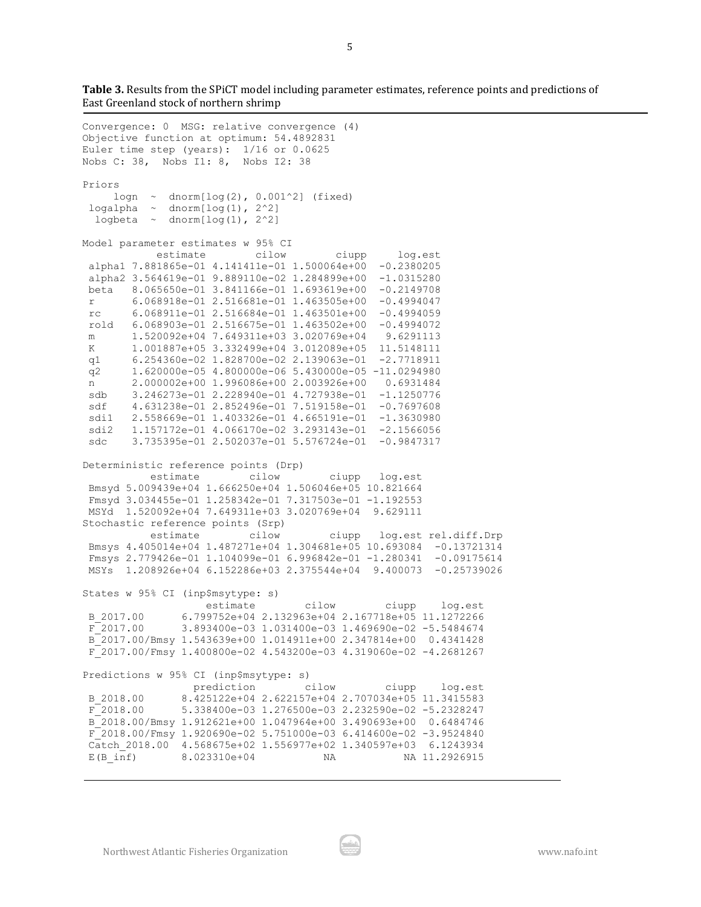**Table 3.** Results from the SPiCT model including parameter estimates, reference points and predictions of East Greenland stock of northern shrimp

```
Convergence: 0 MSG: relative convergence (4)
Objective function at optimum: 54.4892831
Euler time step (years): 1/16 or 0.0625
Nobs C: 38, Nobs I1: 8, Nobs I2: 38
Priors
    logn \sim dnorm[log(2), 0.001^2] (fixed)
logalpha \sim dnorm[log(1), 2^2]
 logbeta \sim dnorm[log(1), 2^2]
Model parameter estimates w 95% CI 
            estimate cilow ciupp log.est 
alpha1 7.881865e-01 4.141411e-01 1.500064e+00 -0.2380205 
 alpha2 3.564619e-01 9.889110e-02 1.284899e+00 -1.0315280 
beta 8.065650e-01 3.841166e-01 1.693619e+00 -0.2149708 
 r 6.068918e-01 2.516681e-01 1.463505e+00 -0.4994047 
 rc 6.068911e-01 2.516684e-01 1.463501e+00 -0.4994059 
 rold 6.068903e-01 2.516675e-01 1.463502e+00 -0.4994072 
m 1.520092e+04 7.649311e+03 3.020769e+04 9.6291113 
K 1.001887e+05 3.332499e+04 3.012089e+05 11.5148111 
q1 6.254360e-02 1.828700e-02 2.139063e-01 -2.7718911 
 q2 1.620000e-05 4.800000e-06 5.430000e-05 -11.0294980 
 n 2.000002e+00 1.996086e+00 2.003926e+00 0.6931484 
 sdb 3.246273e-01 2.228940e-01 4.727938e-01 -1.1250776 
 sdf 4.631238e-01 2.852496e-01 7.519158e-01 -0.7697608 
 sdi1 2.558669e-01 1.403326e-01 4.665191e-01 -1.3630980 
 sdi2 1.157172e-01 4.066170e-02 3.293143e-01 -2.1566056 
 sdc 3.735395e-01 2.502037e-01 5.576724e-01 -0.9847317 
Deterministic reference points (Drp)
           estimate cilow ciupp log.est 
Bmsyd 5.009439e+04 1.666250e+04 1.506046e+05 10.821664 
Fmsyd 3.034455e-01 1.258342e-01 7.317503e-01 -1.192553 
MSYd 1.520092e+04 7.649311e+03 3.020769e+04 9.629111 
Stochastic reference points (Srp)
           estimate cilow ciupp log.est rel.diff.Drp 
Bmsys 4.405014e+04 1.487271e+04 1.304681e+05 10.693084 -0.13721314 
Fmsys 2.779426e-01 1.104099e-01 6.996842e-01 -1.280341 -0.09175614 
MSYs 1.208926e+04 6.152286e+03 2.375544e+04 9.400073 -0.25739026 
States w 95% CI (inp$msytype: s)
                   estimate cilow ciupp log.est 
B_2017.00 6.799752e+04 2.132963e+04 2.167718e+05 11.1272266 
F_2017.00 3.893400e-03 1.031400e-03 1.469690e-02 -5.5484674 
B_2017.00/Bmsy 1.543639e+00 1.014911e+00 2.347814e+00 0.4341428 
F_2017.00/Fmsy 1.400800e-02 4.543200e-03 4.319060e-02 -4.2681267 
Predictions w 95% CI (inp$msytype: s)
                 prediction cilow ciupp log.est 
B_2018.00 8.425122e+04 2.622157e+04 2.707034e+05 11.3415583 
F_2018.00 5.338400e-03 1.276500e-03 2.232590e-02 -5.2328247 
B_2018.00/Bmsy 1.912621e+00 1.047964e+00 3.490693e+00 0.6484746 
F_2018.00/Fmsy 1.920690e-02 5.751000e-03 6.414600e-02 -3.9524840 
Catch_2018.00 4.568675e+02 1.556977e+02 1.340597e+03 6.1243934 
E(B_inf) 8.023310e+04 NA NA NA 11.2926915
```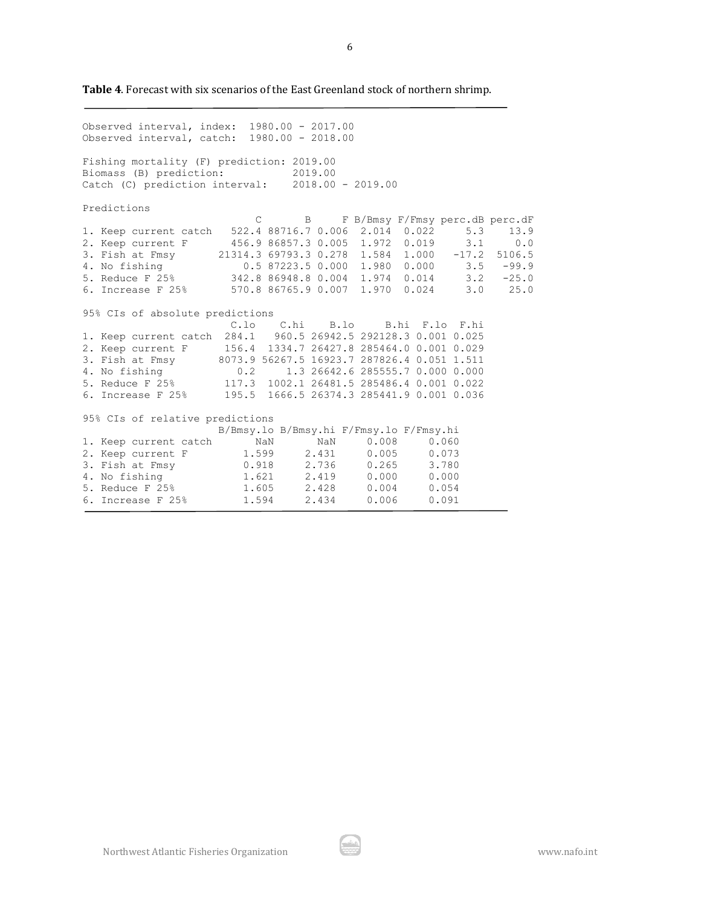**Table 4**. Forecast with six scenarios of the East Greenland stock of northern shrimp.

Observed interval, index: 1980.00 - 2017.00 Observed interval, catch: 1980.00 - 2018.00 Fishing mortality (F) prediction: 2019.00 Biomass (B) prediction: 2019.00 Catch (C) prediction interval: 2018.00 - 2019.00 Predictions C B F B/Bmsy F/Fmsy perc.dB perc.dF 1. Keep current catch 522.4 88716.7 0.006 2.014 0.022 5.3 13.9<br>2. Keep current F 456.9 86857.3 0.005 1.972 0.019 3.1 0.0 2. Keep current F 456.9 86857.3 0.005 1.972 0.019 3.1 0.0 3. Fish at Fmsy 21314.3 69793.3 0.278 1.584 1.000 -17.2 5106.5 4. No fishing 0.5 87223.5 0.000 1.980 0.000 3.5 -99.9 5. Reduce F 25% 342.8 86948.8 0.004 1.974 0.014 3.2 -25.0 6. Increase F 25% 570.8 86765.9 0.007 1.970 0.024 3.0 25.0 95% CIs of absolute predictions C.lo C.hi B.lo B.hi F.lo F.hi 1. Keep current catch 284.1 960.5 26942.5 292128.3 0.001 0.025 2. Keep current F 156.4 1334.7 26427.8 285464.0 0.001 0.029 3. Fish at Fmsy 8073.9 56267.5 16923.7 287826.4 0.051 1.511 4. No fishing 0.2 1.3 26642.6 285555.7 0.000 0.000 5. Reduce F 25% 117.3 1002.1 26481.5 285486.4 0.001 0.022 6. Increase F 25% 195.5 1666.5 26374.3 285441.9 0.001 0.036 95% CIs of relative predictions B/Bmsy.lo B/Bmsy.hi F/Fmsy.lo F/Fmsy.hi 1. Keep current catch NaN NaN 0.008 0.060 2. Keep current F  $1.599$   $2.431$   $0.005$   $0.073$ <br>3. Fish at Fmsy  $0.918$   $2.736$   $0.265$   $3.780$ 3. Fish at Fmsy  $0.918$   $2.736$   $0.265$   $3.780$ <br>
4. No fishing  $1.621$   $2.419$   $0.000$   $0.000$ 4. No fishing  $1.621$  2.419 0.000 0.000<br>5. Reduce F 25% 1.605 2.428 0.004 0.054 5. Reduce F 25% 1.605 2.428 0.004 0.054 6. Increase F 25% 1.594 2.434 0.006 0.091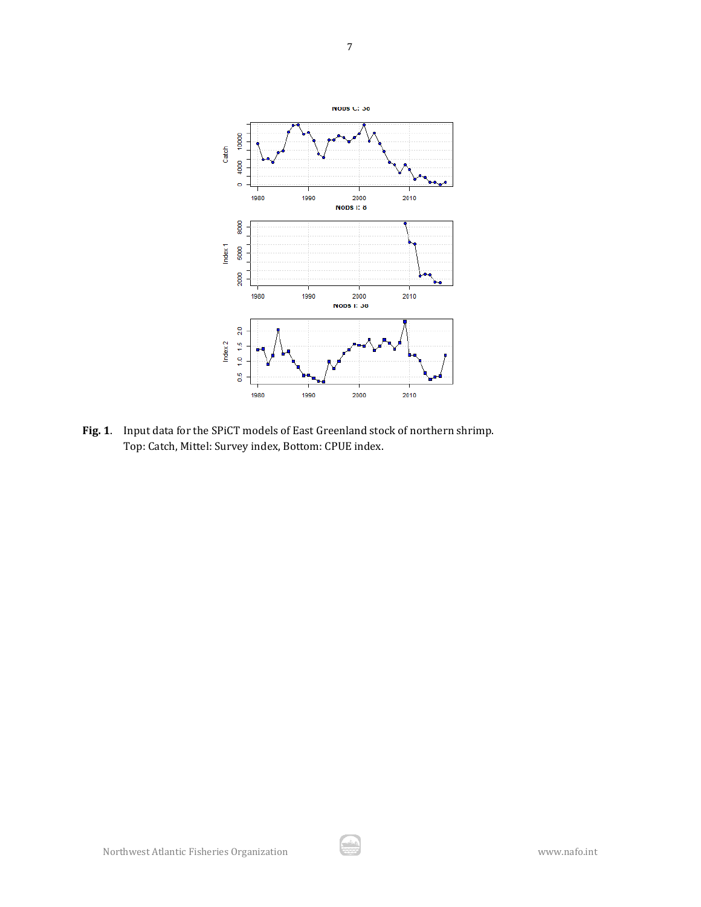

7

**Fig. 1**. Input data for the SPiCT models of East Greenland stock of northern shrimp. Top: Catch, Mittel: Survey index, Bottom: CPUE index.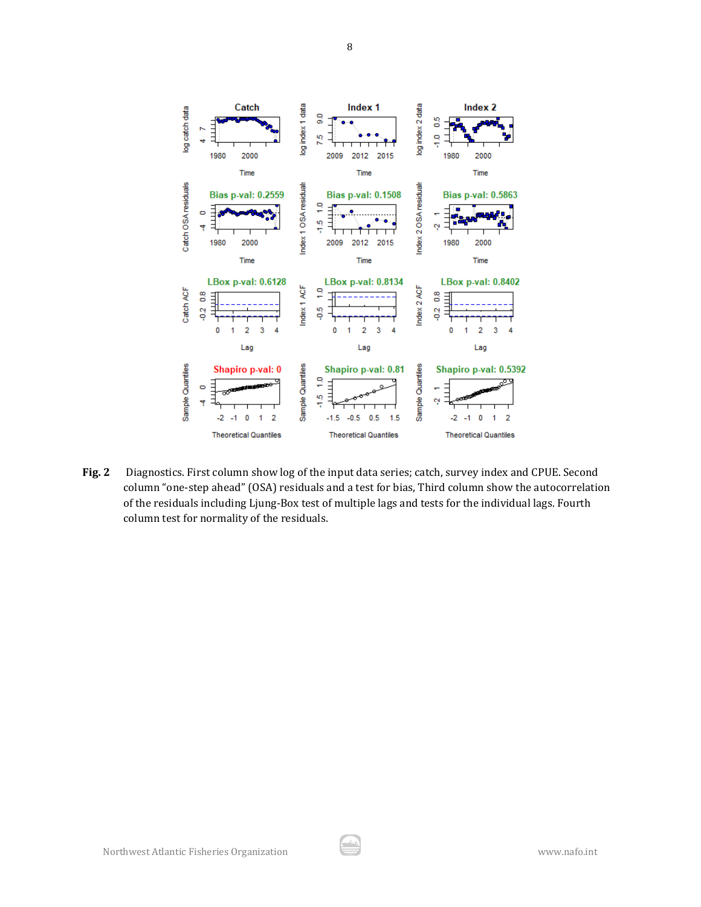

**Fig. 2** Diagnostics. First column show log of the input data series; catch, survey index and CPUE. Second column "one-step ahead" (OSA) residuals and a test for bias, Third column show the autocorrelation of the residuals including Ljung-Box test of multiple lags and tests for the individual lags. Fourth column test for normality of the residuals.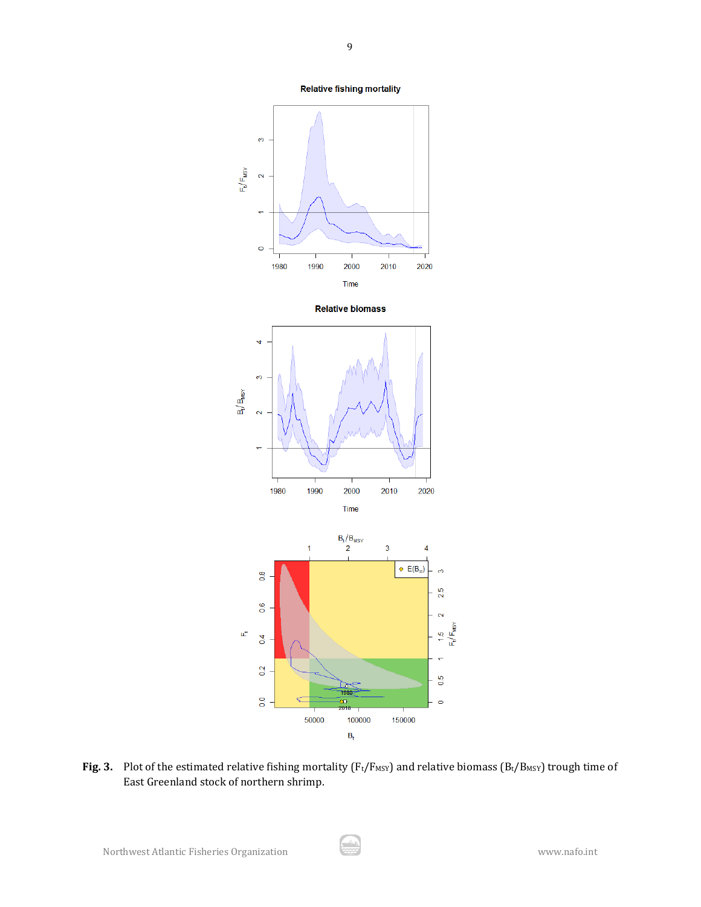**Relative fishing mortality** 



Fig. 3. Plot of the estimated relative fishing mortality (F<sub>t</sub>/F<sub>MSY</sub>) and relative biomass (B<sub>t</sub>/B<sub>MSY</sub>) trough time of East Greenland stock of northern shrimp.